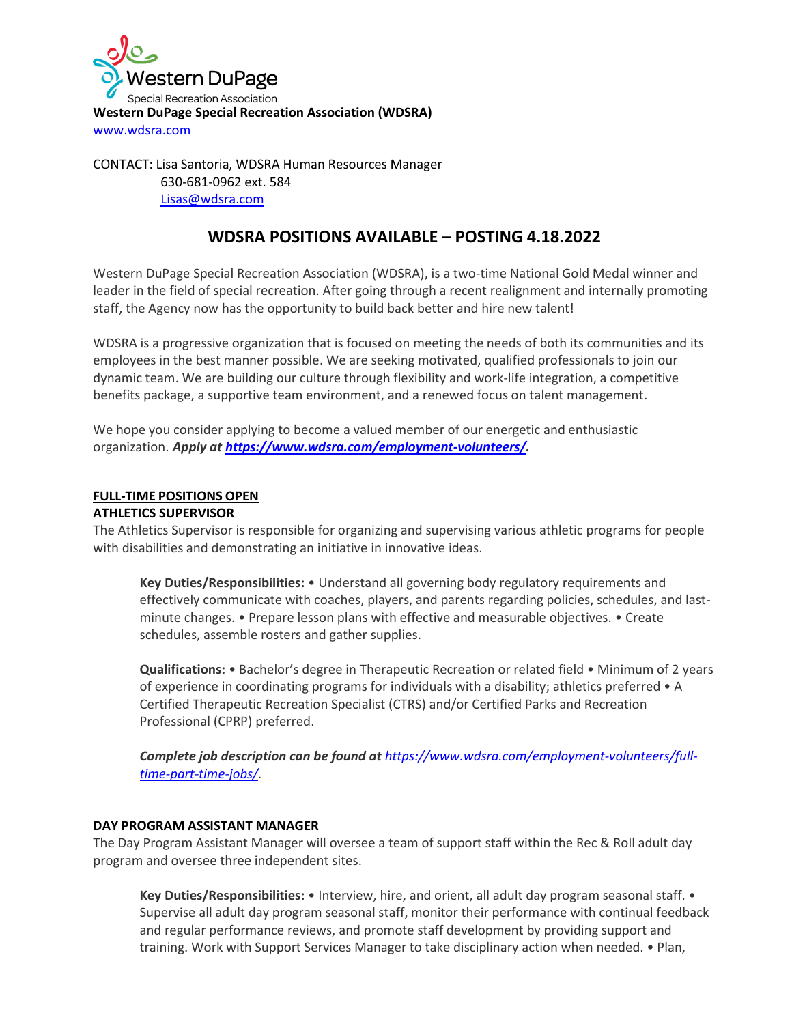

CONTACT: Lisa Santoria, WDSRA Human Resources Manager 630-681-0962 ext. 584 [Lisas@wdsra.com](mailto:Lisas@wdsra.com)

# **WDSRA POSITIONS AVAILABLE – POSTING 4.18.2022**

Western DuPage Special Recreation Association (WDSRA), is a two-time National Gold Medal winner and leader in the field of special recreation. After going through a recent realignment and internally promoting staff, the Agency now has the opportunity to build back better and hire new talent!

WDSRA is a progressive organization that is focused on meeting the needs of both its communities and its employees in the best manner possible. We are seeking motivated, qualified professionals to join our dynamic team. We are building our culture through flexibility and work-life integration, a competitive benefits package, a supportive team environment, and a renewed focus on talent management.

We hope you consider applying to become a valued member of our energetic and enthusiastic organization. *Apply at [https://www.wdsra.com/employment-volunteers/.](https://www.wdsra.com/employment-volunteers/)*

# **FULL-TIME POSITIONS OPEN**

## **ATHLETICS SUPERVISOR**

The Athletics Supervisor is responsible for organizing and supervising various athletic programs for people with disabilities and demonstrating an initiative in innovative ideas.

**Key Duties/Responsibilities:** • Understand all governing body regulatory requirements and effectively communicate with coaches, players, and parents regarding policies, schedules, and lastminute changes. • Prepare lesson plans with effective and measurable objectives. • Create schedules, assemble rosters and gather supplies.

**Qualifications:** • Bachelor's degree in Therapeutic Recreation or related field • Minimum of 2 years of experience in coordinating programs for individuals with a disability; athletics preferred • A Certified Therapeutic Recreation Specialist (CTRS) and/or Certified Parks and Recreation Professional (CPRP) preferred.

*Complete job description can be found at [https://www.wdsra.com/employment-volunteers/full](https://www.wdsra.com/employment-volunteers/full-time-part-time-jobs/)[time-part-time-jobs/.](https://www.wdsra.com/employment-volunteers/full-time-part-time-jobs/)*

## **DAY PROGRAM ASSISTANT MANAGER**

The Day Program Assistant Manager will oversee a team of support staff within the Rec & Roll adult day program and oversee three independent sites.

**Key Duties/Responsibilities:** • Interview, hire, and orient, all adult day program seasonal staff. • Supervise all adult day program seasonal staff, monitor their performance with continual feedback and regular performance reviews, and promote staff development by providing support and training. Work with Support Services Manager to take disciplinary action when needed. • Plan,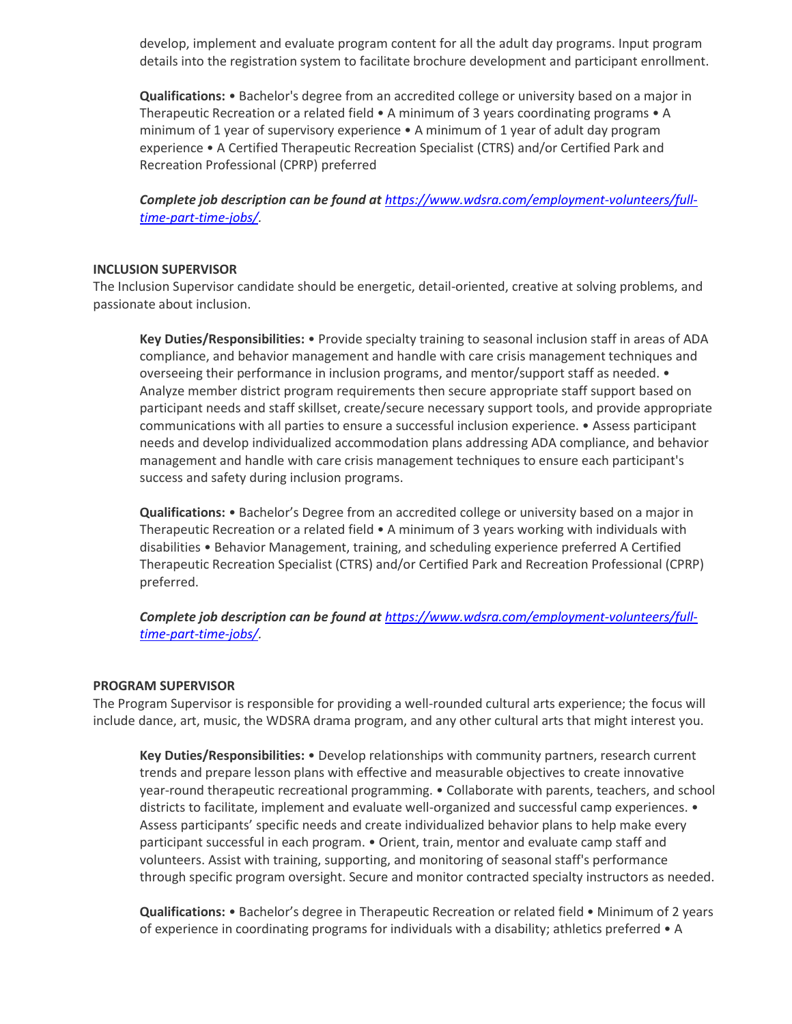develop, implement and evaluate program content for all the adult day programs. Input program details into the registration system to facilitate brochure development and participant enrollment.

**Qualifications:** • Bachelor's degree from an accredited college or university based on a major in Therapeutic Recreation or a related field • A minimum of 3 years coordinating programs • A minimum of 1 year of supervisory experience • A minimum of 1 year of adult day program experience • A Certified Therapeutic Recreation Specialist (CTRS) and/or Certified Park and Recreation Professional (CPRP) preferred

*Complete job description can be found at [https://www.wdsra.com/employment-volunteers/full](https://www.wdsra.com/employment-volunteers/full-time-part-time-jobs/)[time-part-time-jobs/.](https://www.wdsra.com/employment-volunteers/full-time-part-time-jobs/)*

### **INCLUSION SUPERVISOR**

The Inclusion Supervisor candidate should be energetic, detail-oriented, creative at solving problems, and passionate about inclusion.

**Key Duties/Responsibilities:** • Provide specialty training to seasonal inclusion staff in areas of ADA compliance, and behavior management and handle with care crisis management techniques and overseeing their performance in inclusion programs, and mentor/support staff as needed. • Analyze member district program requirements then secure appropriate staff support based on participant needs and staff skillset, create/secure necessary support tools, and provide appropriate communications with all parties to ensure a successful inclusion experience. • Assess participant needs and develop individualized accommodation plans addressing ADA compliance, and behavior management and handle with care crisis management techniques to ensure each participant's success and safety during inclusion programs.

**Qualifications:** • Bachelor's Degree from an accredited college or university based on a major in Therapeutic Recreation or a related field • A minimum of 3 years working with individuals with disabilities • Behavior Management, training, and scheduling experience preferred A Certified Therapeutic Recreation Specialist (CTRS) and/or Certified Park and Recreation Professional (CPRP) preferred.

*Complete job description can be found at [https://www.wdsra.com/employment-volunteers/full](https://www.wdsra.com/employment-volunteers/full-time-part-time-jobs/)[time-part-time-jobs/.](https://www.wdsra.com/employment-volunteers/full-time-part-time-jobs/)*

#### **PROGRAM SUPERVISOR**

The Program Supervisor is responsible for providing a well-rounded cultural arts experience; the focus will include dance, art, music, the WDSRA drama program, and any other cultural arts that might interest you.

**Key Duties/Responsibilities:** • Develop relationships with community partners, research current trends and prepare lesson plans with effective and measurable objectives to create innovative year-round therapeutic recreational programming. • Collaborate with parents, teachers, and school districts to facilitate, implement and evaluate well-organized and successful camp experiences. • Assess participants' specific needs and create individualized behavior plans to help make every participant successful in each program. • Orient, train, mentor and evaluate camp staff and volunteers. Assist with training, supporting, and monitoring of seasonal staff's performance through specific program oversight. Secure and monitor contracted specialty instructors as needed.

**Qualifications:** • Bachelor's degree in Therapeutic Recreation or related field • Minimum of 2 years of experience in coordinating programs for individuals with a disability; athletics preferred • A